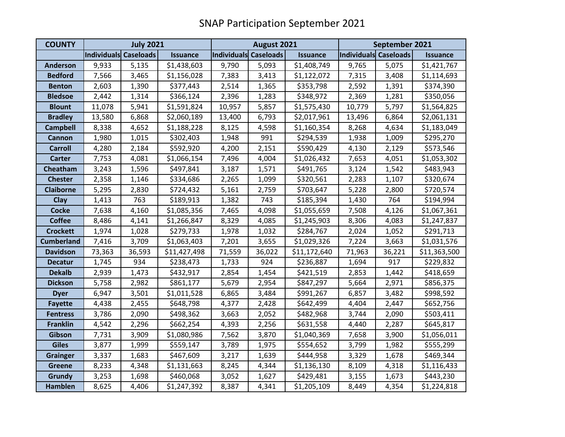| <b>COUNTY</b>     | <b>July 2021</b>      |        |                 | August 2021           |        |                 | September 2021        |        |                 |
|-------------------|-----------------------|--------|-----------------|-----------------------|--------|-----------------|-----------------------|--------|-----------------|
|                   | Individuals Caseloads |        | <b>Issuance</b> | Individuals Caseloads |        | <b>Issuance</b> | Individuals Caseloads |        | <b>Issuance</b> |
| <b>Anderson</b>   | 9,933                 | 5,135  | \$1,438,603     | 9,790                 | 5,093  | \$1,408,749     | 9,765                 | 5,075  | \$1,421,767     |
| <b>Bedford</b>    | 7,566                 | 3,465  | \$1,156,028     | 7,383                 | 3,413  | \$1,122,072     | 7,315                 | 3,408  | \$1,114,693     |
| <b>Benton</b>     | 2,603                 | 1,390  | \$377,443       | 2,514                 | 1,365  | \$353,798       | 2,592                 | 1,391  | \$374,390       |
| <b>Bledsoe</b>    | 2,442                 | 1,314  | \$366,124       | 2,396                 | 1,283  | \$348,972       | 2,369                 | 1,281  | \$350,056       |
| <b>Blount</b>     | 11,078                | 5,941  | \$1,591,824     | 10,957                | 5,857  | \$1,575,430     | 10,779                | 5,797  | \$1,564,825     |
| <b>Bradley</b>    | 13,580                | 6,868  | \$2,060,189     | 13,400                | 6,793  | \$2,017,961     | 13,496                | 6,864  | \$2,061,131     |
| <b>Campbell</b>   | 8,338                 | 4,652  | \$1,188,228     | 8,125                 | 4,598  | \$1,160,354     | 8,268                 | 4,634  | \$1,183,049     |
| <b>Cannon</b>     | 1,980                 | 1,015  | \$302,403       | 1,948                 | 991    | \$294,539       | 1,938                 | 1,009  | \$295,270       |
| <b>Carroll</b>    | 4,280                 | 2,184  | \$592,920       | 4,200                 | 2,151  | \$590,429       | 4,130                 | 2,129  | \$573,546       |
| <b>Carter</b>     | 7,753                 | 4,081  | \$1,066,154     | 7,496                 | 4,004  | \$1,026,432     | 7,653                 | 4,051  | \$1,053,302     |
| Cheatham          | 3,243                 | 1,596  | \$497,841       | 3,187                 | 1,571  | \$491,765       | 3,124                 | 1,542  | \$483,943       |
| <b>Chester</b>    | 2,358                 | 1,146  | \$334,686       | 2,265                 | 1,099  | \$320,561       | 2,283                 | 1,107  | \$320,674       |
| <b>Claiborne</b>  | 5,295                 | 2,830  | \$724,432       | 5,161                 | 2,759  | \$703,647       | 5,228                 | 2,800  | \$720,574       |
| Clay              | 1,413                 | 763    | \$189,913       | 1,382                 | 743    | \$185,394       | 1,430                 | 764    | \$194,994       |
| <b>Cocke</b>      | 7,638                 | 4,160  | \$1,085,356     | 7,465                 | 4,098  | \$1,055,659     | 7,508                 | 4,126  | \$1,067,361     |
| <b>Coffee</b>     | 8,486                 | 4,141  | \$1,266,847     | 8,329                 | 4,085  | \$1,245,903     | 8,306                 | 4,083  | \$1,247,837     |
| <b>Crockett</b>   | 1,974                 | 1,028  | \$279,733       | 1,978                 | 1,032  | \$284,767       | 2,024                 | 1,052  | \$291,713       |
| <b>Cumberland</b> | 7,416                 | 3,709  | \$1,063,403     | 7,201                 | 3,655  | \$1,029,326     | 7,224                 | 3,663  | \$1,031,576     |
| <b>Davidson</b>   | 73,363                | 36,593 | \$11,427,498    | 71,559                | 36,022 | \$11,172,640    | 71,963                | 36,221 | \$11,363,500    |
| <b>Decatur</b>    | 1,745                 | 934    | \$238,473       | 1,733                 | 924    | \$236,887       | 1,694                 | 917    | \$229,832       |
| <b>Dekalb</b>     | 2,939                 | 1,473  | \$432,917       | 2,854                 | 1,454  | \$421,519       | 2,853                 | 1,442  | \$418,659       |
| <b>Dickson</b>    | 5,758                 | 2,982  | \$861,177       | 5,679                 | 2,954  | \$847,297       | 5,664                 | 2,971  | \$856,375       |
| <b>Dyer</b>       | 6,947                 | 3,501  | \$1,011,528     | 6,865                 | 3,484  | \$991,267       | 6,857                 | 3,482  | \$998,592       |
| <b>Fayette</b>    | 4,438                 | 2,455  | \$648,798       | 4,377                 | 2,428  | \$642,499       | 4,404                 | 2,447  | \$652,756       |
| <b>Fentress</b>   | 3,786                 | 2,090  | \$498,362       | 3,663                 | 2,052  | \$482,968       | 3,744                 | 2,090  | \$503,411       |
| <b>Franklin</b>   | 4,542                 | 2,296  | \$662,254       | 4,393                 | 2,256  | \$631,558       | 4,440                 | 2,287  | \$645,817       |
| Gibson            | 7,731                 | 3,909  | \$1,080,986     | 7,562                 | 3,870  | \$1,040,369     | 7,658                 | 3,900  | \$1,056,011     |
| <b>Giles</b>      | 3,877                 | 1,999  | \$559,147       | 3,789                 | 1,975  | \$554,652       | 3,799                 | 1,982  | \$555,299       |
| <b>Grainger</b>   | 3,337                 | 1,683  | \$467,609       | 3,217                 | 1,639  | \$444,958       | 3,329                 | 1,678  | \$469,344       |
| <b>Greene</b>     | 8,233                 | 4,348  | \$1,131,663     | 8,245                 | 4,344  | \$1,136,130     | 8,109                 | 4,318  | \$1,116,433     |
| <b>Grundy</b>     | 3,253                 | 1,698  | \$460,068       | 3,052                 | 1,627  | \$429,481       | 3,155                 | 1,673  | \$443,230       |
| <b>Hamblen</b>    | 8,625                 | 4,406  | \$1,247,392     | 8,387                 | 4,341  | \$1,205,109     | 8,449                 | 4,354  | \$1,224,818     |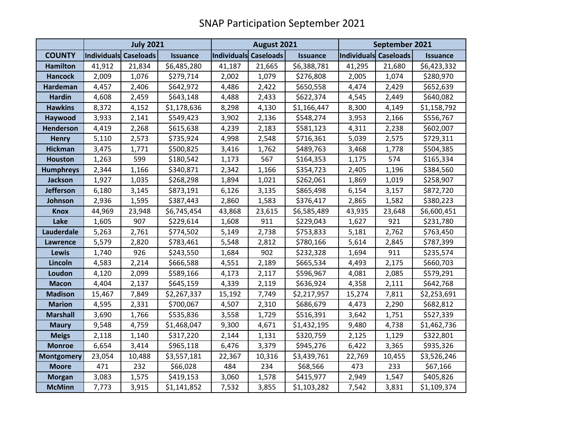|                   | <b>July 2021</b>      |        |                 |                       | August 2021 |                 |                       | September 2021 |                 |  |
|-------------------|-----------------------|--------|-----------------|-----------------------|-------------|-----------------|-----------------------|----------------|-----------------|--|
| <b>COUNTY</b>     | Individuals Caseloads |        | <b>Issuance</b> | Individuals Caseloads |             | <b>Issuance</b> | Individuals Caseloads |                | <b>Issuance</b> |  |
| <b>Hamilton</b>   | 41,912                | 21,834 | \$6,485,280     | 41,187                | 21,665      | \$6,388,781     | 41,295                | 21,680         | \$6,423,332     |  |
| <b>Hancock</b>    | 2,009                 | 1,076  | \$279,714       | 2,002                 | 1,079       | \$276,808       | 2,005                 | 1,074          | \$280,970       |  |
| Hardeman          | 4,457                 | 2,406  | \$642,972       | 4,486                 | 2,422       | \$650,558       | 4,474                 | 2,429          | \$652,639       |  |
| <b>Hardin</b>     | 4,608                 | 2,459  | \$643,148       | 4,488                 | 2,433       | \$622,374       | 4,545                 | 2,449          | \$640,082       |  |
| <b>Hawkins</b>    | 8,372                 | 4,152  | \$1,178,636     | 8,298                 | 4,130       | \$1,166,447     | 8,300                 | 4,149          | \$1,158,792     |  |
| Haywood           | 3,933                 | 2,141  | \$549,423       | 3,902                 | 2,136       | \$548,274       | 3,953                 | 2,166          | \$556,767       |  |
| <b>Henderson</b>  | 4,419                 | 2,268  | \$615,638       | 4,239                 | 2,183       | \$581,123       | 4,311                 | 2,238          | \$602,007       |  |
| <b>Henry</b>      | 5,110                 | 2,573  | \$735,924       | 4,998                 | 2,548       | \$716,361       | 5,039                 | 2,575          | \$729,311       |  |
| <b>Hickman</b>    | 3,475                 | 1,771  | \$500,825       | 3,416                 | 1,762       | \$489,763       | 3,468                 | 1,778          | \$504,385       |  |
| <b>Houston</b>    | 1,263                 | 599    | \$180,542       | 1,173                 | 567         | \$164,353       | 1,175                 | 574            | \$165,334       |  |
| <b>Humphreys</b>  | 2,344                 | 1,166  | \$340,871       | 2,342                 | 1,166       | \$354,723       | 2,405                 | 1,196          | \$384,560       |  |
| Jackson           | 1,927                 | 1,035  | \$268,298       | 1,894                 | 1,021       | \$262,061       | 1,869                 | 1,019          | \$258,907       |  |
| <b>Jefferson</b>  | 6,180                 | 3,145  | \$873,191       | 6,126                 | 3,135       | \$865,498       | 6,154                 | 3,157          | \$872,720       |  |
| Johnson           | 2,936                 | 1,595  | \$387,443       | 2,860                 | 1,583       | \$376,417       | 2,865                 | 1,582          | \$380,223       |  |
| <b>Knox</b>       | 44,969                | 23,948 | \$6,745,454     | 43,868                | 23,615      | \$6,585,489     | 43,935                | 23,648         | \$6,600,451     |  |
| Lake              | 1,605                 | 907    | \$229,614       | 1,608                 | 911         | \$229,043       | 1,627                 | 921            | \$231,780       |  |
| Lauderdale        | 5,263                 | 2,761  | \$774,502       | 5,149                 | 2,738       | \$753,833       | 5,181                 | 2,762          | \$763,450       |  |
| Lawrence          | 5,579                 | 2,820  | \$783,461       | 5,548                 | 2,812       | \$780,166       | 5,614                 | 2,845          | \$787,399       |  |
| Lewis             | 1,740                 | 926    | \$243,550       | 1,684                 | 902         | \$232,328       | 1,694                 | 911            | \$235,574       |  |
| Lincoln           | 4,583                 | 2,214  | \$666,588       | 4,551                 | 2,189       | \$665,534       | 4,493                 | 2,175          | \$660,703       |  |
| Loudon            | 4,120                 | 2,099  | \$589,166       | 4,173                 | 2,117       | \$596,967       | 4,081                 | 2,085          | \$579,291       |  |
| <b>Macon</b>      | 4,404                 | 2,137  | \$645,159       | 4,339                 | 2,119       | \$636,924       | 4,358                 | 2,111          | \$642,768       |  |
| <b>Madison</b>    | 15,467                | 7,849  | \$2,267,337     | 15,192                | 7,749       | \$2,217,957     | 15,274                | 7,811          | \$2,253,691     |  |
| <b>Marion</b>     | 4,595                 | 2,331  | \$700,067       | 4,507                 | 2,310       | \$686,679       | 4,473                 | 2,290          | \$682,812       |  |
| <b>Marshall</b>   | 3,690                 | 1,766  | \$535,836       | 3,558                 | 1,729       | \$516,391       | 3,642                 | 1,751          | \$527,339       |  |
| <b>Maury</b>      | 9,548                 | 4,759  | \$1,468,047     | 9,300                 | 4,671       | \$1,432,195     | 9,480                 | 4,738          | \$1,462,736     |  |
| <b>Meigs</b>      | 2,118                 | 1,140  | \$317,220       | 2,144                 | 1,131       | \$320,759       | 2,125                 | 1,129          | \$322,801       |  |
| <b>Monroe</b>     | 6,654                 | 3,414  | \$965,118       | 6,476                 | 3,379       | \$945,276       | 6,422                 | 3,365          | \$935,326       |  |
| <b>Montgomery</b> | 23,054                | 10,488 | \$3,557,181     | 22,367                | 10,316      | \$3,439,761     | 22,769                | 10,455         | \$3,526,246     |  |
| <b>Moore</b>      | 471                   | 232    | \$66,028        | 484                   | 234         | \$68,566        | 473                   | 233            | \$67,166        |  |
| <b>Morgan</b>     | 3,083                 | 1,575  | \$419,153       | 3,060                 | 1,578       | \$415,977       | 2,949                 | 1,547          | \$405,826       |  |
| <b>McMinn</b>     | 7,773                 | 3,915  | \$1,141,852     | 7,532                 | 3,855       | \$1,103,282     | 7,542                 | 3,831          | \$1,109,374     |  |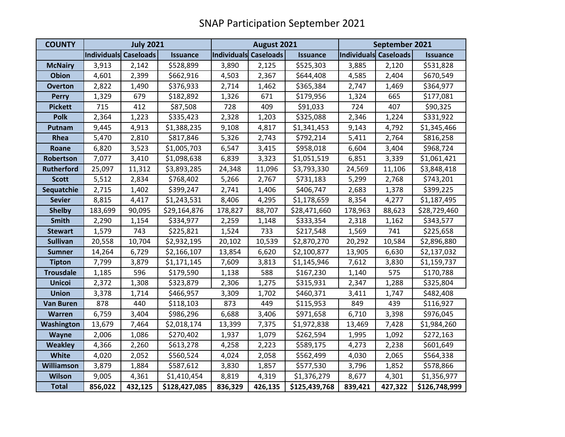| <b>COUNTY</b>     | <b>July 2021</b>      |         |                 | August 2021           |         |                 | September 2021        |         |                 |
|-------------------|-----------------------|---------|-----------------|-----------------------|---------|-----------------|-----------------------|---------|-----------------|
|                   | Individuals Caseloads |         | <b>Issuance</b> | Individuals Caseloads |         | <b>Issuance</b> | Individuals Caseloads |         | <b>Issuance</b> |
| <b>McNairy</b>    | 3,913                 | 2,142   | \$528,899       | 3,890                 | 2,125   | \$525,303       | 3,885                 | 2,120   | \$531,828       |
| <b>Obion</b>      | 4,601                 | 2,399   | \$662,916       | 4,503                 | 2,367   | \$644,408       | 4,585                 | 2,404   | \$670,549       |
| <b>Overton</b>    | 2,822                 | 1,490   | \$376,933       | 2,714                 | 1,462   | \$365,384       | 2,747                 | 1,469   | \$364,977       |
| <b>Perry</b>      | 1,329                 | 679     | \$182,892       | 1,326                 | 671     | \$179,956       | 1,324                 | 665     | \$177,081       |
| <b>Pickett</b>    | 715                   | 412     | \$87,508        | 728                   | 409     | \$91,033        | 724                   | 407     | \$90,325        |
| <b>Polk</b>       | 2,364                 | 1,223   | \$335,423       | 2,328                 | 1,203   | \$325,088       | 2,346                 | 1,224   | \$331,922       |
| Putnam            | 9,445                 | 4,913   | \$1,388,235     | 9,108                 | 4,817   | \$1,341,453     | 9,143                 | 4,792   | \$1,345,466     |
| Rhea              | 5,470                 | 2,810   | \$817,846       | 5,326                 | 2,743   | \$792,214       | 5,411                 | 2,764   | \$816,258       |
| Roane             | 6,820                 | 3,523   | \$1,005,703     | 6,547                 | 3,415   | \$958,018       | 6,604                 | 3,404   | \$968,724       |
| Robertson         | 7,077                 | 3,410   | \$1,098,638     | 6,839                 | 3,323   | \$1,051,519     | 6,851                 | 3,339   | \$1,061,421     |
| <b>Rutherford</b> | 25,097                | 11,312  | \$3,893,285     | 24,348                | 11,096  | \$3,793,330     | 24,569                | 11,106  | \$3,848,418     |
| <b>Scott</b>      | 5,512                 | 2,834   | \$768,402       | 5,266                 | 2,767   | \$731,183       | 5,299                 | 2,768   | \$743,201       |
| Sequatchie        | 2,715                 | 1,402   | \$399,247       | 2,741                 | 1,406   | \$406,747       | 2,683                 | 1,378   | \$399,225       |
| <b>Sevier</b>     | 8,815                 | 4,417   | \$1,243,531     | 8,406                 | 4,295   | \$1,178,659     | 8,354                 | 4,277   | \$1,187,495     |
| <b>Shelby</b>     | 183,699               | 90,095  | \$29,164,876    | 178,827               | 88,707  | \$28,471,660    | 178,963               | 88,623  | \$28,729,460    |
| <b>Smith</b>      | 2,290                 | 1,154   | \$334,977       | 2,259                 | 1,148   | \$333,354       | 2,318                 | 1,162   | \$343,577       |
| <b>Stewart</b>    | 1,579                 | 743     | \$225,821       | 1,524                 | 733     | \$217,548       | 1,569                 | 741     | \$225,658       |
| <b>Sullivan</b>   | 20,558                | 10,704  | \$2,932,195     | 20,102                | 10,539  | \$2,870,270     | 20,292                | 10,584  | \$2,896,880     |
| <b>Sumner</b>     | 14,264                | 6,729   | \$2,166,107     | 13,854                | 6,620   | \$2,100,877     | 13,905                | 6,630   | \$2,137,032     |
| <b>Tipton</b>     | 7,799                 | 3,879   | \$1,171,145     | 7,609                 | 3,813   | \$1,145,946     | 7,612                 | 3,830   | \$1,159,737     |
| <b>Trousdale</b>  | 1,185                 | 596     | \$179,590       | 1,138                 | 588     | \$167,230       | 1,140                 | 575     | \$170,788       |
| <b>Unicoi</b>     | 2,372                 | 1,308   | \$323,879       | 2,306                 | 1,275   | \$315,931       | 2,347                 | 1,288   | \$325,804       |
| <b>Union</b>      | 3,378                 | 1,714   | \$466,957       | 3,309                 | 1,702   | \$460,371       | 3,411                 | 1,747   | \$482,408       |
| <b>Van Buren</b>  | 878                   | 440     | \$118,103       | 873                   | 449     | \$115,953       | 849                   | 439     | \$116,927       |
| Warren            | 6,759                 | 3,404   | \$986,296       | 6,688                 | 3,406   | \$971,658       | 6,710                 | 3,398   | \$976,045       |
| Washington        | 13,679                | 7,464   | \$2,018,174     | 13,399                | 7,375   | \$1,972,838     | 13,469                | 7,428   | \$1,984,260     |
| <b>Wayne</b>      | 2,006                 | 1,086   | \$270,402       | 1,937                 | 1,079   | \$262,594       | 1,995                 | 1,092   | \$272,163       |
| <b>Weakley</b>    | 4,366                 | 2,260   | \$613,278       | 4,258                 | 2,223   | \$589,175       | 4,273                 | 2,238   | \$601,649       |
| <b>White</b>      | 4,020                 | 2,052   | \$560,524       | 4,024                 | 2,058   | \$562,499       | 4,030                 | 2,065   | \$564,338       |
| <b>Williamson</b> | 3,879                 | 1,884   | \$587,612       | 3,830                 | 1,857   | \$577,530       | 3,796                 | 1,852   | \$578,866       |
| <b>Wilson</b>     | 9,005                 | 4,361   | \$1,410,454     | 8,819                 | 4,319   | \$1,376,279     | 8,677                 | 4,301   | \$1,356,977     |
| <b>Total</b>      | 856,022               | 432,125 | \$128,427,085   | 836,329               | 426,135 | \$125,439,768   | 839,421               | 427,322 | \$126,748,999   |